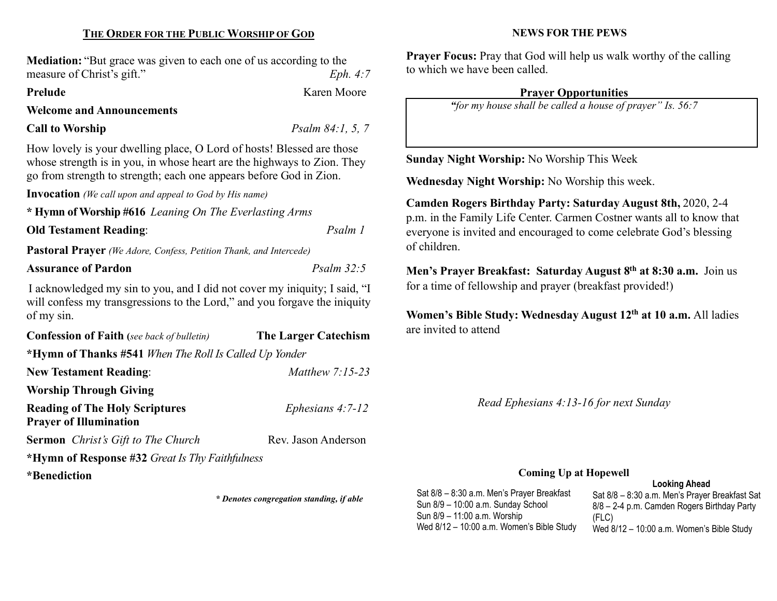## THE ORDER FOR THE PUBLIC WORSHIP OF GOD

Mediation: "But grace was given to each one of us according to the measure of Christ's gift." Eph. 4:7

## Prelude Karen Moore

Welcome and Announcements

#### Call to Worship  $Psalm 84:1, 5, 7$

How lovely is your dwelling place, O Lord of hosts! Blessed are those whose strength is in you, in whose heart are the highways to Zion. They go from strength to strength; each one appears before God in Zion.

Invocation (We call upon and appeal to God by His name)

\* Hymn of Worship #616 Leaning On The Everlasting Arms

#### Old Testament Reading: Psalm 1

Pastoral Prayer (We Adore, Confess, Petition Thank, and Intercede)

## Assurance of Pardon **Psalm 32:5** Psalm 32:5

I acknowledged my sin to you, and I did not cover my iniquity; I said, "I will confess my transgressions to the Lord," and you for gave the iniquity of my sin.

| <b>Confession of Faith</b> (see back of bulletin)                      | <b>The Larger Catechism</b> |
|------------------------------------------------------------------------|-----------------------------|
| *Hymn of Thanks #541 When The Roll Is Called Up Yonder                 |                             |
| <b>New Testament Reading:</b>                                          | Matthew $7:15-23$           |
| <b>Worship Through Giving</b>                                          |                             |
| <b>Reading of The Holy Scriptures</b><br><b>Prayer of Illumination</b> | Ephesians $4:7-12$          |
| <b>Sermon</b> Christ's Gift to The Church                              | Rev. Jason Anderson         |
| *Hymn of Response #32 Great Is Thy Faithfulness                        |                             |
| *Benediction                                                           |                             |

\* Denotes congregation standing, if able

#### NEWS FOR THE PEWS

Prayer Focus: Pray that God will help us walk worthy of the calling to which we have been called.

# Prayer Opportunities

"for my house shall be called a house of prayer" Is. 56:7

Sunday Night Worship: No Worship This Week

Wednesday Night Worship: No Worship this week.

Camden Rogers Birthday Party: Saturday August 8th, 2020, 2-4 p.m. in the Family Life Center. Carmen Costner wants all to know that everyone is invited and encouraged to come celebrate God's blessing of children.

Men's Prayer Breakfast: Saturday August 8<sup>th</sup> at 8:30 a.m. Join us for a time of fellowship and prayer (breakfast provided!)

Women's Bible Study: Wednesday August 12<sup>th</sup> at 10 a.m. All ladies are invited to attend

Read Ephesians 4:13-16 for next Sunday

# Coming Up at Hopewell

Looking Ahead Sat 8/8 – 8:30 a.m. Men's Prayer Breakfast Sat 8/8 – 2-4 p.m. Camden Rogers Birthday Party (FLC) Wed 8/12 – 10:00 a.m. Women's Bible Study Sat 8/8 – 8:30 a.m. Men's Prayer Breakfast Sun 8/9 – 10:00 a.m. Sunday School Sun 8/9 – 11:00 a.m. Worship Wed 8/12 – 10:00 a.m. Women's Bible Study